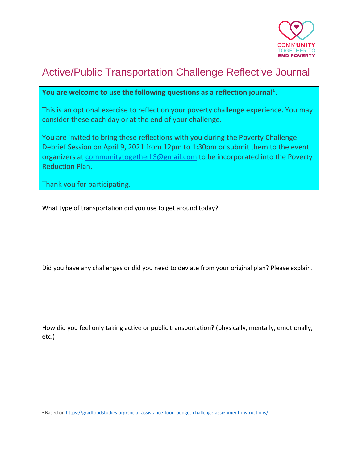

## Active/Public Transportation Challenge Reflective Journal

## **You are welcome to use the following questions as a reflection journal<sup>1</sup> .**

This is an optional exercise to reflect on your poverty challenge experience. You may consider these each day or at the end of your challenge.

You are invited to bring these reflections with you during the Poverty Challenge Debrief Session on April 9, 2021 from 12pm to 1:30pm or submit them to the event organizers at [communitytogetherLS@gmail.com](mailto:communitytogetherLS@gmail.com) to be incorporated into the Poverty Reduction Plan.

Thank you for participating.

What type of transportation did you use to get around today?

Did you have any challenges or did you need to deviate from your original plan? Please explain.

How did you feel only taking active or public transportation? (physically, mentally, emotionally, etc.)

<sup>1</sup> Based o[n https://gradfoodstudies.org/social-assistance-food-budget-challenge-assignment-instructions/](https://gradfoodstudies.org/social-assistance-food-budget-challenge-assignment-instructions/)